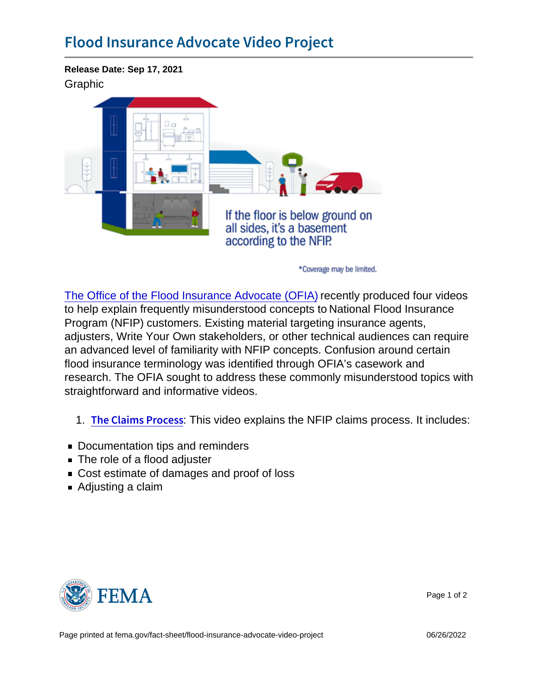Release Date: Sep 17, 2021 Graphic

[The Office of the Flood Insurance Advocate \(OFIA\)](https://www.fema.gov/flood-insurance/advocate) recently produced four videos to help explain frequently misunderstood concepts to National Flood Insurance Program (NFIP) customers. Existing material targeting insurance agents, adjusters, Write Your Own stakeholders, or other technical audiences can require an advanced level of familiarity with NFIP concepts. Confusion around certain flood insurance terminology was identified through OFIA's casework and research. The OFIA sought to address these commonly misunderstood topics with straightforward and informative videos.

1. The Claims:  $P\text{lnis}$  vides explains the NFIP claims process. It includes:

- Documentation tips and reminders
- The role of a flood adjuster
- Cost estimate of damages and proof of loss
- Adjusting a claim



Page 1 of 2